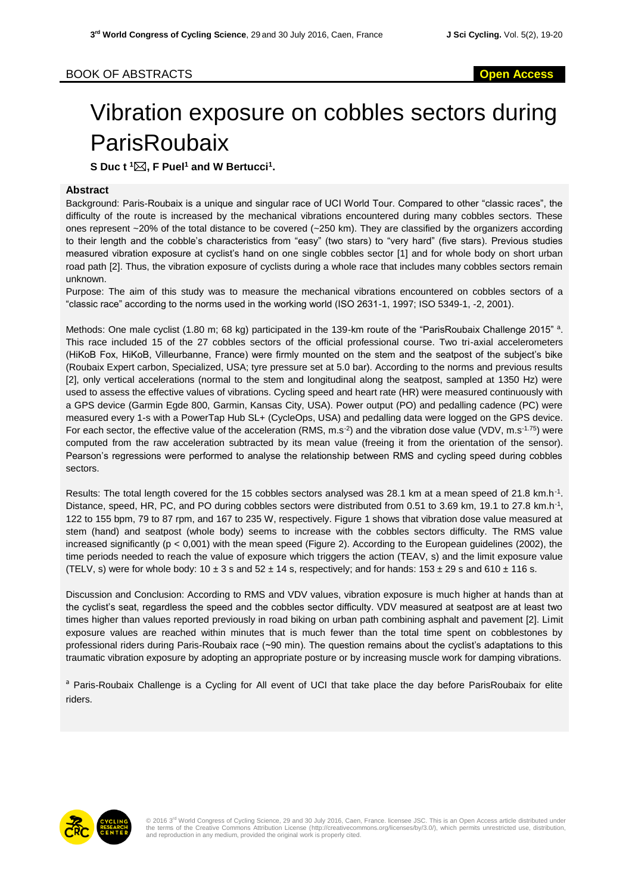## Vibration exposure on cobbles sectors during **ParisRoubaix**

**S Duc t <sup>1</sup>, F Puel<sup>1</sup> and W Bertucci<sup>1</sup> .**

## **Abstract**

Background: Paris-Roubaix is a unique and singular race of UCI World Tour. Compared to other "classic races", the difficulty of the route is increased by the mechanical vibrations encountered during many cobbles sectors. These ones represent ~20% of the total distance to be covered (~250 km). They are classified by the organizers according to their length and the cobble's characteristics from "easy" (two stars) to "very hard" (five stars). Previous studies measured vibration exposure at cyclist's hand on one single cobbles sector [1] and for whole body on short urban road path [2]. Thus, the vibration exposure of cyclists during a whole race that includes many cobbles sectors remain unknown.

Purpose: The aim of this study was to measure the mechanical vibrations encountered on cobbles sectors of a "classic race" according to the norms used in the working world (ISO 2631-1, 1997; ISO 5349-1, -2, 2001).

Methods: One male cyclist (1.80 m; 68 kg) participated in the 139-km route of the "ParisRoubaix Challenge 2015" <sup>a</sup>. This race included 15 of the 27 cobbles sectors of the official professional course. Two tri-axial accelerometers (HiKoB Fox, HiKoB, Villeurbanne, France) were firmly mounted on the stem and the seatpost of the subject's bike (Roubaix Expert carbon, Specialized, USA; tyre pressure set at 5.0 bar). According to the norms and previous results [2], only vertical accelerations (normal to the stem and longitudinal along the seatpost, sampled at 1350 Hz) were used to assess the effective values of vibrations. Cycling speed and heart rate (HR) were measured continuously with a GPS device (Garmin Egde 800, Garmin, Kansas City, USA). Power output (PO) and pedalling cadence (PC) were measured every 1-s with a PowerTap Hub SL+ (CycleOps, USA) and pedalling data were logged on the GPS device. For each sector, the effective value of the acceleration (RMS,  $m.s^{-2}$ ) and the vibration dose value (VDV,  $m.s^{-1.75}$ ) were computed from the raw acceleration subtracted by its mean value (freeing it from the orientation of the sensor). Pearson's regressions were performed to analyse the relationship between RMS and cycling speed during cobbles sectors.

Results: The total length covered for the 15 cobbles sectors analysed was 28.1 km at a mean speed of 21.8 km.h<sup>-1</sup>. Distance, speed, HR, PC, and PO during cobbles sectors were distributed from 0.51 to 3.69 km, 19.1 to 27.8 km.h<sup>-1</sup>, 122 to 155 bpm, 79 to 87 rpm, and 167 to 235 W, respectively. Figure 1 shows that vibration dose value measured at stem (hand) and seatpost (whole body) seems to increase with the cobbles sectors difficulty. The RMS value increased significantly ( $p < 0.001$ ) with the mean speed (Figure 2). According to the European guidelines (2002), the time periods needed to reach the value of exposure which triggers the action (TEAV, s) and the limit exposure value (TELV, s) were for whole body:  $10 \pm 3$  s and  $52 \pm 14$  s, respectively; and for hands:  $153 \pm 29$  s and  $610 \pm 116$  s.

Discussion and Conclusion: According to RMS and VDV values, vibration exposure is much higher at hands than at the cyclist's seat, regardless the speed and the cobbles sector difficulty. VDV measured at seatpost are at least two times higher than values reported previously in road biking on urban path combining asphalt and pavement [2]. Limit exposure values are reached within minutes that is much fewer than the total time spent on cobblestones by professional riders during Paris-Roubaix race (~90 min). The question remains about the cyclist's adaptations to this traumatic vibration exposure by adopting an appropriate posture or by increasing muscle work for damping vibrations.

<sup>a</sup> Paris-Roubaix Challenge is a Cycling for All event of UCI that take place the day before ParisRoubaix for elite riders.